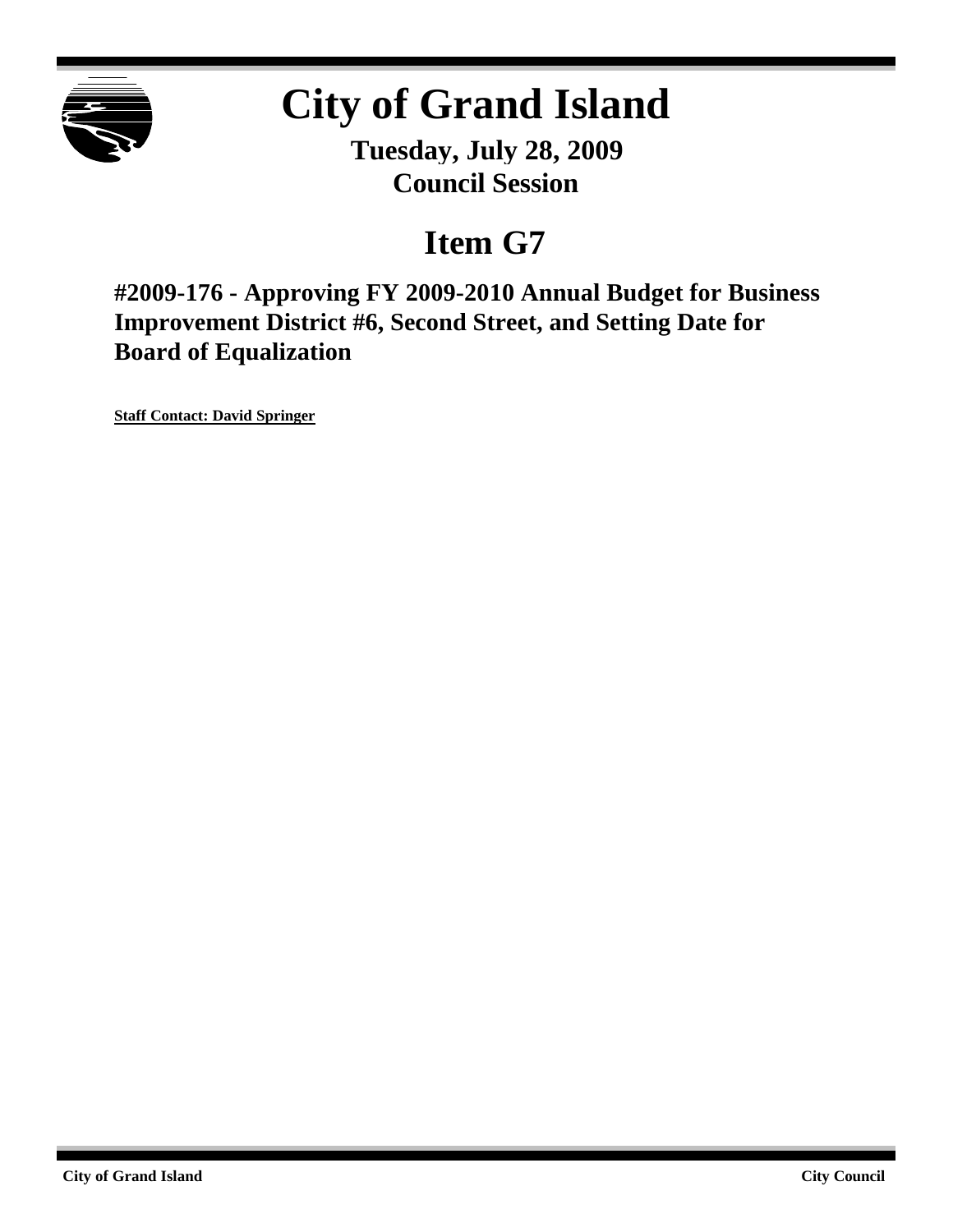

# **City of Grand Island**

**Tuesday, July 28, 2009 Council Session**

## **Item G7**

**#2009-176 - Approving FY 2009-2010 Annual Budget for Business Improvement District #6, Second Street, and Setting Date for Board of Equalization**

**Staff Contact: David Springer**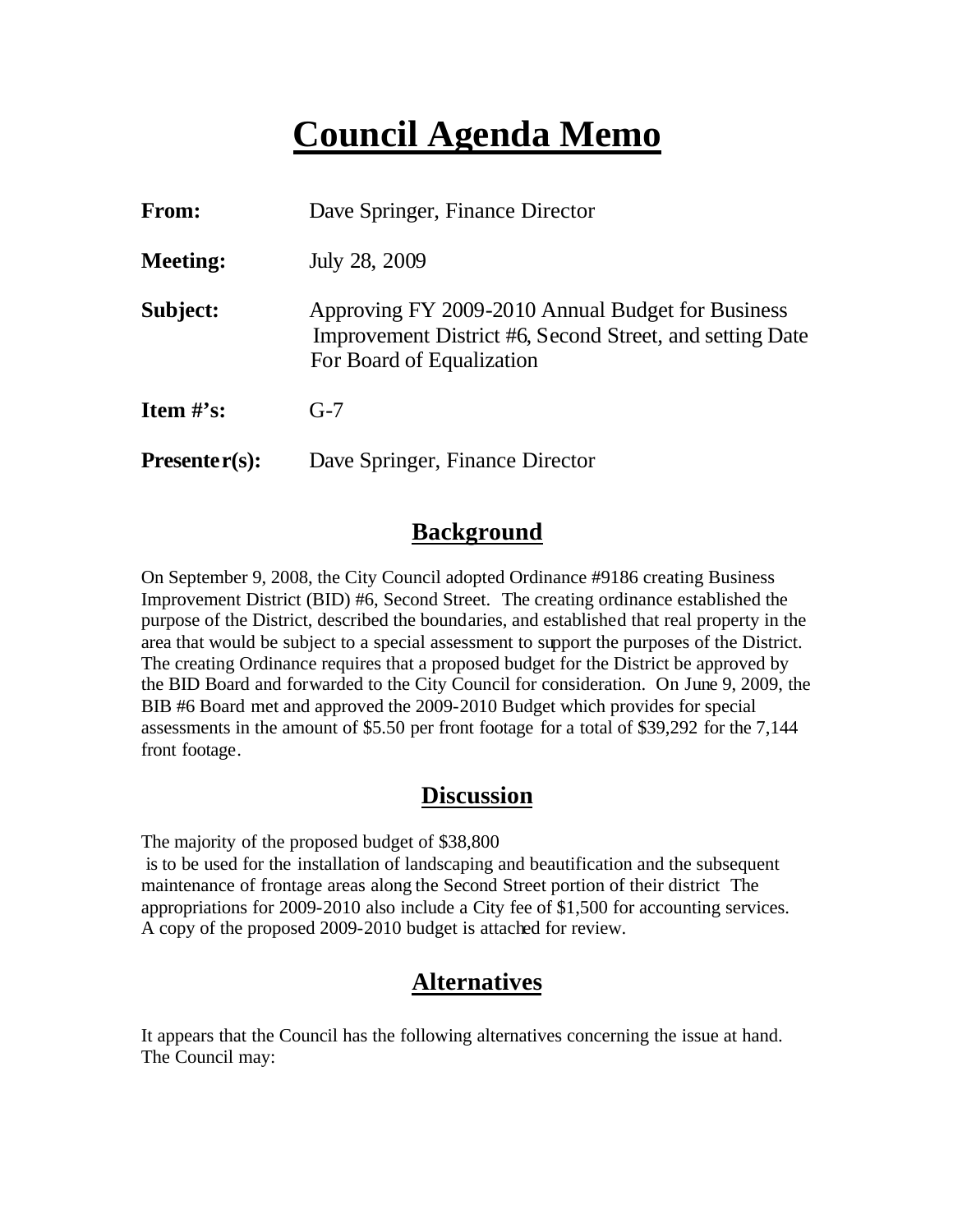## **Council Agenda Memo**

| From:           | Dave Springer, Finance Director                                                                                                            |  |  |
|-----------------|--------------------------------------------------------------------------------------------------------------------------------------------|--|--|
| <b>Meeting:</b> | July 28, 2009                                                                                                                              |  |  |
| Subject:        | Approving FY 2009-2010 Annual Budget for Business<br>Improvement District #6, Second Street, and setting Date<br>For Board of Equalization |  |  |
| Item $\#$ 's:   | $G-7$                                                                                                                                      |  |  |
| $Presenter(s):$ | Dave Springer, Finance Director                                                                                                            |  |  |

#### **Background**

On September 9, 2008, the City Council adopted Ordinance #9186 creating Business Improvement District (BID) #6, Second Street. The creating ordinance established the purpose of the District, described the boundaries, and established that real property in the area that would be subject to a special assessment to support the purposes of the District. The creating Ordinance requires that a proposed budget for the District be approved by the BID Board and forwarded to the City Council for consideration. On June 9, 2009, the BIB #6 Board met and approved the 2009-2010 Budget which provides for special assessments in the amount of \$5.50 per front footage for a total of \$39,292 for the 7,144 front footage.

#### **Discussion**

The majority of the proposed budget of \$38,800

 is to be used for the installation of landscaping and beautification and the subsequent maintenance of frontage areas along the Second Street portion of their district The appropriations for 2009-2010 also include a City fee of \$1,500 for accounting services. A copy of the proposed 2009-2010 budget is attached for review.

## **Alternatives**

It appears that the Council has the following alternatives concerning the issue at hand. The Council may: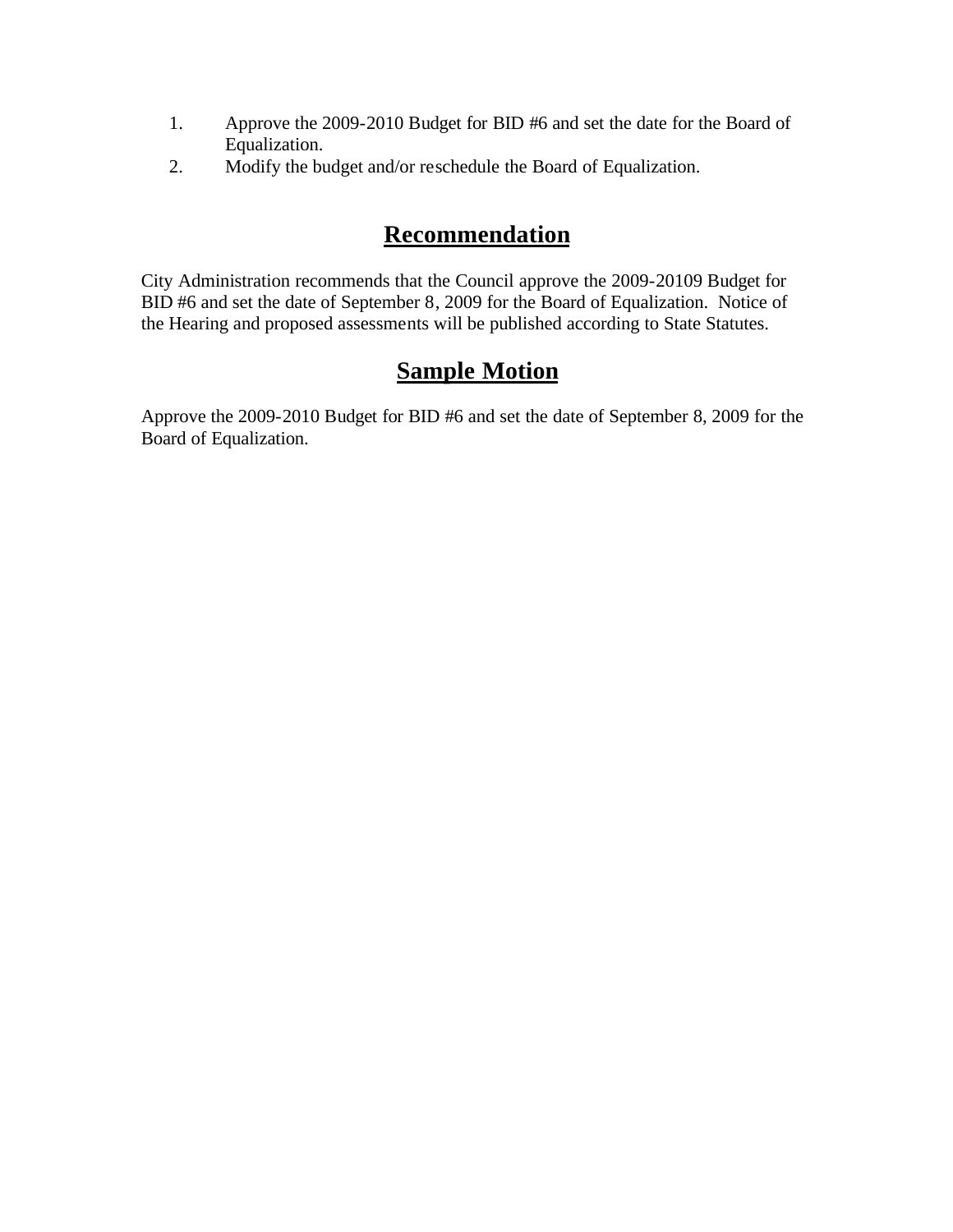- 1. Approve the 2009-2010 Budget for BID #6 and set the date for the Board of Equalization.
- 2. Modify the budget and/or reschedule the Board of Equalization.

### **Recommendation**

City Administration recommends that the Council approve the 2009-20109 Budget for BID #6 and set the date of September 8, 2009 for the Board of Equalization. Notice of the Hearing and proposed assessments will be published according to State Statutes.

### **Sample Motion**

Approve the 2009-2010 Budget for BID #6 and set the date of September 8, 2009 for the Board of Equalization.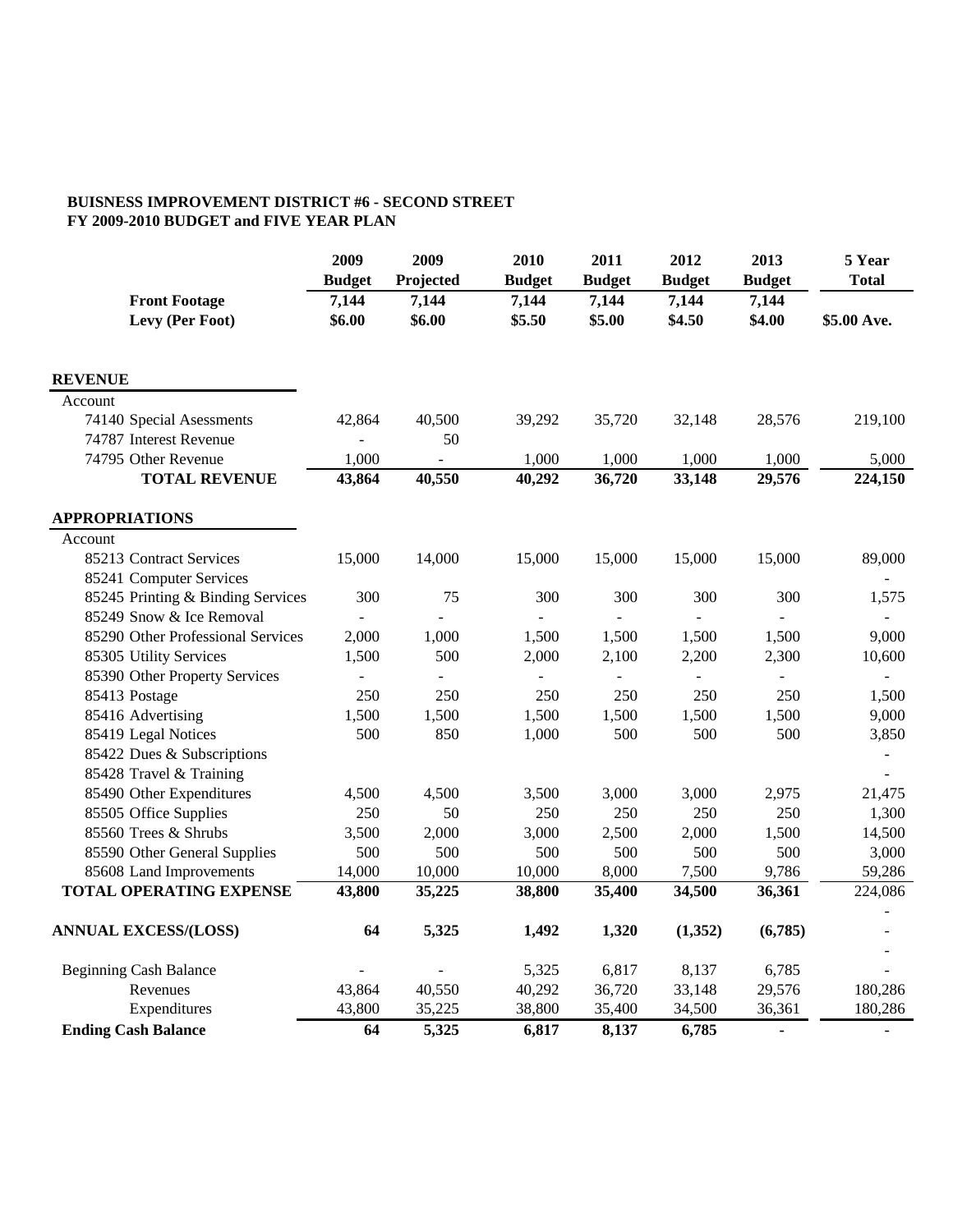#### **BUISNESS IMPROVEMENT DISTRICT #6 - SECOND STREET FY 2009-2010 BUDGET and FIVE YEAR PLAN**

|                                         | 2009<br><b>Budget</b> | 2009<br>Projected        | 2010<br><b>Budget</b> | 2011<br><b>Budget</b> | 2012<br><b>Budget</b> | 2013<br><b>Budget</b>    | 5 Year<br><b>Total</b> |
|-----------------------------------------|-----------------------|--------------------------|-----------------------|-----------------------|-----------------------|--------------------------|------------------------|
| <b>Front Footage</b><br>Levy (Per Foot) | 7,144<br>\$6.00       | 7,144<br>\$6.00          | 7,144<br>\$5.50       | 7,144<br>\$5.00       | 7,144<br>\$4.50       | 7,144<br>\$4.00          | \$5.00 Ave.            |
|                                         |                       |                          |                       |                       |                       |                          |                        |
| <b>REVENUE</b>                          |                       |                          |                       |                       |                       |                          |                        |
| Account                                 |                       |                          |                       |                       |                       |                          |                        |
| 74140 Special Asessments                | 42,864                | 40,500                   | 39,292                | 35,720                | 32,148                | 28,576                   | 219,100                |
| 74787 Interest Revenue                  |                       | 50                       |                       |                       |                       |                          |                        |
| 74795 Other Revenue                     | 1,000                 |                          | 1,000                 | 1,000                 | 1,000                 | 1,000                    | 5,000                  |
| <b>TOTAL REVENUE</b>                    | 43,864                | 40,550                   | 40,292                | 36,720                | 33,148                | 29,576                   | 224,150                |
| <b>APPROPRIATIONS</b>                   |                       |                          |                       |                       |                       |                          |                        |
| Account                                 |                       |                          |                       |                       |                       |                          |                        |
| 85213 Contract Services                 | 15,000                | 14,000                   | 15,000                | 15,000                | 15,000                | 15,000                   | 89,000                 |
| 85241 Computer Services                 |                       |                          |                       |                       |                       |                          |                        |
| 85245 Printing & Binding Services       | 300                   | 75                       | 300                   | 300                   | 300                   | 300                      | 1,575                  |
| 85249 Snow & Ice Removal                |                       | $\overline{\phantom{a}}$ |                       | $\overline{a}$        |                       | $\overline{\phantom{a}}$ |                        |
| 85290 Other Professional Services       | 2,000                 | 1,000                    | 1,500                 | 1,500                 | 1,500                 | 1,500                    | 9,000                  |
| 85305 Utility Services                  | 1,500                 | 500                      | 2,000                 | 2,100                 | 2,200                 | 2,300                    | 10,600                 |
| 85390 Other Property Services           | ÷                     | $\bar{\phantom{a}}$      | $\overline{a}$        | $\blacksquare$        | ÷,                    | $\blacksquare$           |                        |
| 85413 Postage                           | 250                   | 250                      | 250                   | 250                   | 250                   | 250                      | 1,500                  |
| 85416 Advertising                       | 1,500                 | 1,500                    | 1,500                 | 1,500                 | 1,500                 | 1,500                    | 9,000                  |
| 85419 Legal Notices                     | 500                   | 850                      | 1,000                 | 500                   | 500                   | 500                      | 3,850                  |
| 85422 Dues & Subscriptions              |                       |                          |                       |                       |                       |                          | $\overline{a}$         |
| 85428 Travel & Training                 |                       |                          |                       |                       |                       |                          |                        |
| 85490 Other Expenditures                | 4,500                 | 4,500                    | 3,500                 | 3,000                 | 3,000                 | 2,975                    | 21,475                 |
| 85505 Office Supplies                   | 250                   | 50                       | 250                   | 250                   | 250                   | 250                      | 1,300                  |
| 85560 Trees & Shrubs                    | 3,500                 | 2,000                    | 3,000                 | 2,500                 | 2,000                 | 1,500                    | 14,500                 |
| 85590 Other General Supplies            | 500                   | 500                      | 500                   | 500                   | 500                   | 500                      | 3,000                  |
| 85608 Land Improvements                 | 14,000                | 10,000                   | 10,000                | 8,000                 | 7,500                 | 9,786                    | 59,286                 |
| <b>TOTAL OPERATING EXPENSE</b>          | 43,800                | 35,225                   | 38,800                | 35,400                | 34,500                | 36,361                   | 224,086                |
| <b>ANNUAL EXCESS/(LOSS)</b>             | 64                    | 5,325                    | 1,492                 | 1,320                 | (1, 352)              | (6,785)                  |                        |
| <b>Beginning Cash Balance</b>           |                       |                          | 5,325                 | 6,817                 | 8,137                 | 6,785                    |                        |
| Revenues                                | 43,864                | 40,550                   | 40,292                | 36,720                | 33,148                | 29,576                   | 180,286                |
| Expenditures                            | 43,800                | 35,225                   | 38,800                | 35,400                | 34,500                | 36,361                   | 180,286                |
| <b>Ending Cash Balance</b>              | 64                    | 5,325                    | 6,817                 | 8,137                 | 6,785                 | $\blacksquare$           | $\overline{a}$         |